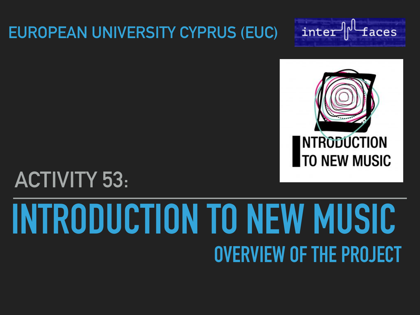#### **EUROPEAN UNIVERSITY CYPRUS (EUC)**





## **ACTIVITY 53:**

# **INTRODUCTION TO NEW MUSIC OVERVIEW OF THE PROJECT**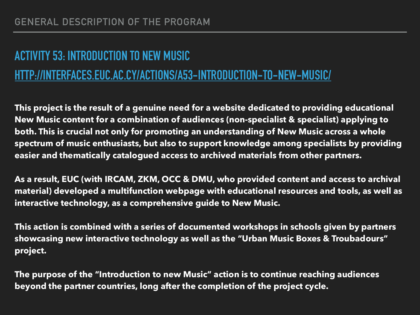#### **ACTIVITY 53: INTRODUCTION TO NEW MUSIC**

#### **[HTTP://INTERFACES.EUC.AC.CY/ACTIONS/A53-INTRODUCTION-TO-NEW-MUSIC/](http://interfaces.euc.ac.cy/actions/a53-introduction-to-new-music/)**

**This project is the result of a genuine need for a website dedicated to providing educational New Music content for a combination of audiences (non-specialist & specialist) applying to both. This is crucial not only for promoting an understanding of New Music across a whole spectrum of music enthusiasts, but also to support knowledge among specialists by providing easier and thematically catalogued access to archived materials from other partners.** 

**As a result, EUC (with IRCAM, ZKM, OCC & DMU, who provided content and access to archival material) developed a multifunction webpage with educational resources and tools, as well as interactive technology, as a comprehensive guide to New Music.** 

**This action is combined with a series of documented workshops in schools given by partners showcasing new interactive technology as well as the "Urban Music Boxes & Troubadours" project.** 

**The purpose of the "Introduction to new Music" action is to continue reaching audiences beyond the partner countries, long after the completion of the project cycle.**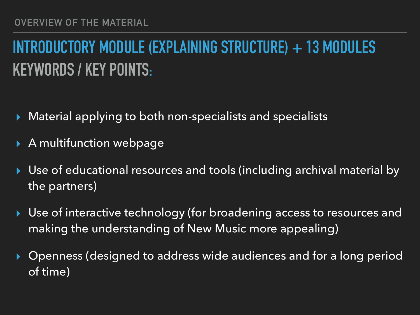#### **INTRODUCTORY MODULE (EXPLAINING STRUCTURE) + 13 MODULES KEYWORDS / KEY POINTS:**

- Material applying to both non-specialists and specialists
- A multifunction webpage
- ▸ Use of educational resources and tools (including archival material by the partners)
- Use of interactive technology (for broadening access to resources and making the understanding of New Music more appealing)
- Openness (designed to address wide audiences and for a long period of time)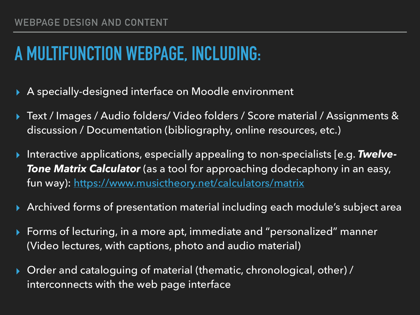#### **A MULTIFUNCTION WEBPAGE, INCLUDING:**

- A specially-designed interface on Moodle environment
- ▸ Text / Images / Audio folders/ Video folders / Score material / Assignments & discussion / Documentation (bibliography, online resources, etc.)
- ▸ Interactive applications, especially appealing to non-specialists [e.g. *Twelve-Tone Matrix Calculator* (as a tool for approaching dodecaphony in an easy, fun way): <https://www.musictheory.net/calculators/matrix>
- ▸ Archived forms of presentation material including each module's subject area
- ▸ Forms of lecturing, in a more apt, immediate and "personalized" manner (Video lectures, with captions, photo and audio material)
- Order and cataloguing of material (thematic, chronological, other) / interconnects with the web page interface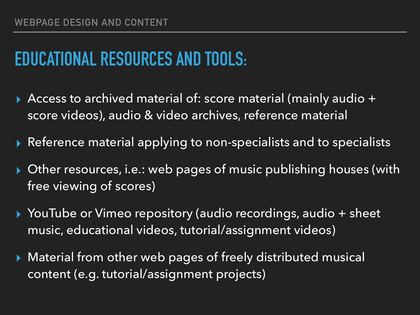### **EDUCATIONAL RESOURCES AND TOOLS:**

- ▸ Access to archived material of: score material (mainly audio + score videos), audio & video archives, reference material
- Reference material applying to non-specialists and to specialists
- ▸ Other resources, i.e.: web pages of music publishing houses (with free viewing of scores)
- ▸ YouTube or Vimeo repository (audio recordings, audio + sheet music, educational videos, tutorial/assignment videos)
- Material from other web pages of freely distributed musical content (e.g. tutorial/assignment projects)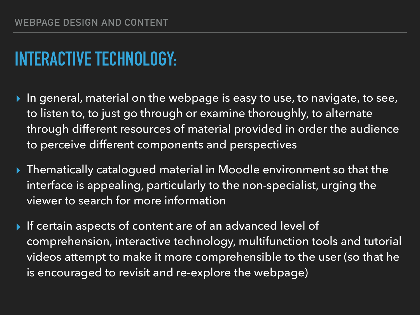### **INTERACTIVE TECHNOLOGY:**

- In general, material on the webpage is easy to use, to navigate, to see, to listen to, to just go through or examine thoroughly, to alternate through different resources of material provided in order the audience to perceive different components and perspectives
- ▸ Thematically catalogued material in Moodle environment so that the interface is appealing, particularly to the non-specialist, urging the viewer to search for more information
- ▸ If certain aspects of content are of an advanced level of comprehension, interactive technology, multifunction tools and tutorial videos attempt to make it more comprehensible to the user (so that he is encouraged to revisit and re-explore the webpage)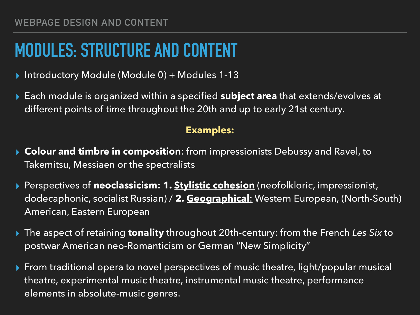#### **MODULES: STRUCTURE AND CONTENT**

- ▸ Introductory Module (Module 0) + Modules 1-13
- ▸ Each module is organized within a specified **subject area** that extends/evolves at different points of time throughout the 20th and up to early 21st century.

#### **Examples:**

- ▸ **Colour and timbre in composition**: from impressionists Debussy and Ravel, to Takemitsu, Messiaen or the spectralists
- ▸ Perspectives of **neoclassicism: 1. Stylistic cohesion** (neofolkloric, impressionist, dodecaphonic, socialist Russian) / **2. Geographical**: Western European, (North-South) American, Eastern European
- ▸ The aspect of retaining **tonality** throughout 20th-century: from the French *Les Six* to postwar American neo-Romanticism or German "New Simplicity"
- ▶ From traditional opera to novel perspectives of music theatre, light/popular musical theatre, experimental music theatre, instrumental music theatre, performance elements in absolute-music genres.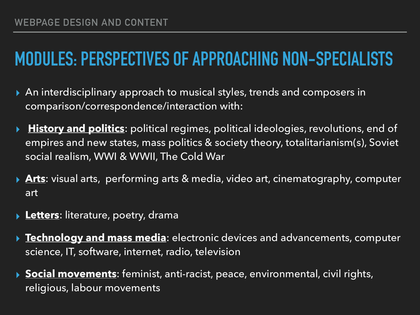### **MODULES: PERSPECTIVES OF APPROACHING NON-SPECIALISTS**

- ▸ An interdisciplinary approach to musical styles, trends and composers in comparison/correspondence/interaction with:
- ▸ **History and politics**: political regimes, political ideologies, revolutions, end of empires and new states, mass politics & society theory, totalitarianism(s), Soviet social realism, WWI & WWII, The Cold War
- ▸ **Arts**: visual arts, performing arts & media, video art, cinematography, computer art
- ▸ **Letters**: literature, poetry, drama
- ▸ **Technology and mass media**: electronic devices and advancements, computer science, IT, software, internet, radio, television
- ▸ **Social movements**: feminist, anti-racist, peace, environmental, civil rights, religious, labour movements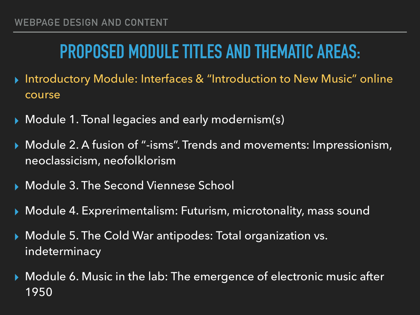#### **PROPOSED MODULE TITLES AND THEMATIC AREAS:**

- ▸ Introductory Module: Interfaces & "Introduction to New Music" online course
- ▸ Module 1. Tonal legacies and early modernism(s)
- ▸ Module 2. A fusion of "-isms". Trends and movements: Impressionism, neoclassicism, neofolklorism
- ▸ Module 3. The Second Viennese School
- ▸ Module 4. Exprerimentalism: Futurism, microtonality, mass sound
- ▸ Module 5. The Cold War antipodes: Total organization vs. indeterminacy
- ▸ Module 6. Music in the lab: The emergence of electronic music after 1950